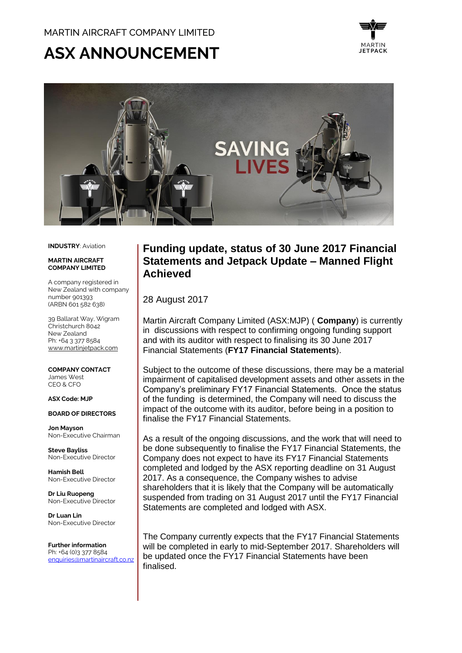# **ASX ANNOUNCEMENT**





**INDUSTRY**: Aviation

#### **MADTIN AIDCDAFT COMPANY LIMITED**

A company registered in New Zealand with company number 901393 (ARBN 601 582 638)

39 Ballarat Way, Wigram Christchurch 8042 New Zealand Ph: +64 3 377 8584 [www.martinjetpack.com](http://www.martinjetpack.com/)

**COMPANY CONTACT** James West CEO & CFO

#### **ASX Code: MJP**

#### **BOARD OF DIRECTORS**

**Jon Mayson**  Non-Executive Chairman

**Steve Bayliss** Non-Executive Director

**Hamish Bell** Non-Executive Director

**Dr Liu Ruopeng**  Non-Executive Director

**Dr Luan Lin** Non-Executive Director

**Further information** Ph: +64 (0)3 377 8584 [enquiries@martinaircraft.co.nz](mailto:enquiries@martinaircraft.co.nz)

## **Funding update, status of 30 June 2017 Financial Statements and Jetpack Update – Manned Flight Achieved**

28 August 2017

Martin Aircraft Company Limited (ASX:MJP) ( **Company**) is currently in discussions with respect to confirming ongoing funding support and with its auditor with respect to finalising its 30 June 2017 Financial Statements (**FY17 Financial Statements**).

Subject to the outcome of these discussions, there may be a material impairment of capitalised development assets and other assets in the Company's preliminary FY17 Financial Statements. Once the status of the funding is determined, the Company will need to discuss the impact of the outcome with its auditor, before being in a position to finalise the FY17 Financial Statements.

As a result of the ongoing discussions, and the work that will need to be done subsequently to finalise the FY17 Financial Statements, the Company does not expect to have its FY17 Financial Statements completed and lodged by the ASX reporting deadline on 31 August 2017. As a consequence, the Company wishes to advise shareholders that it is likely that the Company will be automatically suspended from trading on 31 August 2017 until the FY17 Financial Statements are completed and lodged with ASX.

The Company currently expects that the FY17 Financial Statements will be completed in early to mid-September 2017. Shareholders will be updated once the FY17 Financial Statements have been finalised.